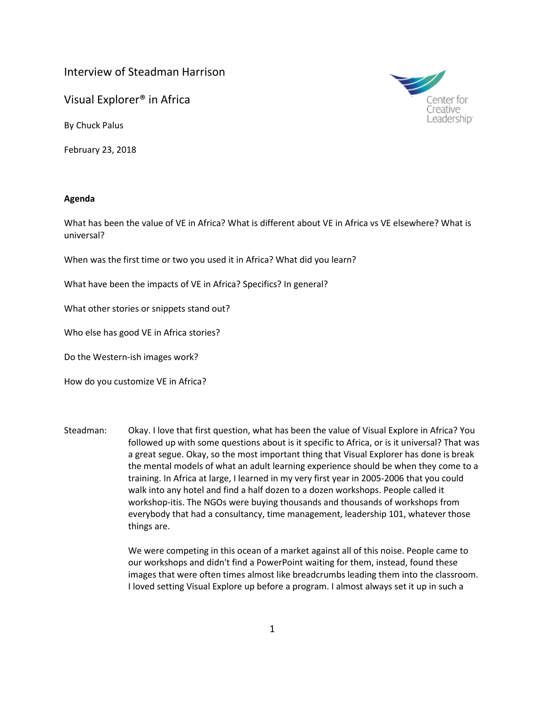## Interview of Steadman Harrison

Visual Explorer® in Africa

By Chuck Palus

February 23, 2018



## **Agenda**

What has been the value of VE in Africa? What is different about VE in Africa vs VE elsewhere? What is universal?

When was the first time or two you used it in Africa? What did you learn?

What have been the impacts of VE in Africa? Specifics? In general?

What other stories or snippets stand out?

Who else has good VE in Africa stories?

Do the Western-ish images work?

How do you customize VE in Africa?

Steadman: Okay. I love that first question, what has been the value of Visual Explore in Africa? You followed up with some questions about is it specific to Africa, or is it universal? That was a great segue. Okay, so the most important thing that Visual Explorer has done is break the mental models of what an adult learning experience should be when they come to a training. In Africa at large, I learned in my very first year in 2005-2006 that you could walk into any hotel and find a half dozen to a dozen workshops. People called it workshop-itis. The NGOs were buying thousands and thousands of workshops from everybody that had a consultancy, time management, leadership 101, whatever those things are.

> We were competing in this ocean of a market against all of this noise. People came to our workshops and didn't find a PowerPoint waiting for them, instead, found these images that were often times almost like breadcrumbs leading them into the classroom. I loved setting Visual Explore up before a program. I almost always set it up in such a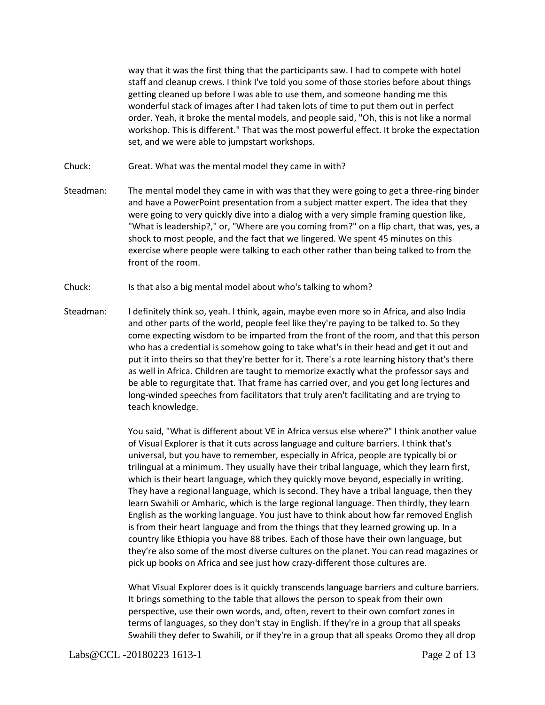way that it was the first thing that the participants saw. I had to compete with hotel staff and cleanup crews. I think I've told you some of those stories before about things getting cleaned up before I was able to use them, and someone handing me this wonderful stack of images after I had taken lots of time to put them out in perfect order. Yeah, it broke the mental models, and people said, "Oh, this is not like a normal workshop. This is different." That was the most powerful effect. It broke the expectation set, and we were able to jumpstart workshops.

- Chuck: Great. What was the mental model they came in with?
- Steadman: The mental model they came in with was that they were going to get a three-ring binder and have a PowerPoint presentation from a subject matter expert. The idea that they were going to very quickly dive into a dialog with a very simple framing question like, "What is leadership?," or, "Where are you coming from?" on a flip chart, that was, yes, a shock to most people, and the fact that we lingered. We spent 45 minutes on this exercise where people were talking to each other rather than being talked to from the front of the room.
- Chuck: Is that also a big mental model about who's talking to whom?
- Steadman: I definitely think so, yeah. I think, again, maybe even more so in Africa, and also India and other parts of the world, people feel like they're paying to be talked to. So they come expecting wisdom to be imparted from the front of the room, and that this person who has a credential is somehow going to take what's in their head and get it out and put it into theirs so that they're better for it. There's a rote learning history that's there as well in Africa. Children are taught to memorize exactly what the professor says and be able to regurgitate that. That frame has carried over, and you get long lectures and long-winded speeches from facilitators that truly aren't facilitating and are trying to teach knowledge.

You said, "What is different about VE in Africa versus else where?" I think another value of Visual Explorer is that it cuts across language and culture barriers. I think that's universal, but you have to remember, especially in Africa, people are typically bi or trilingual at a minimum. They usually have their tribal language, which they learn first, which is their heart language, which they quickly move beyond, especially in writing. They have a regional language, which is second. They have a tribal language, then they learn Swahili or Amharic, which is the large regional language. Then thirdly, they learn English as the working language. You just have to think about how far removed English is from their heart language and from the things that they learned growing up. In a country like Ethiopia you have 88 tribes. Each of those have their own language, but they're also some of the most diverse cultures on the planet. You can read magazines or pick up books on Africa and see just how crazy-different those cultures are.

What Visual Explorer does is it quickly transcends language barriers and culture barriers. It brings something to the table that allows the person to speak from their own perspective, use their own words, and, often, revert to their own comfort zones in terms of languages, so they don't stay in English. If they're in a group that all speaks Swahili they defer to Swahili, or if they're in a group that all speaks Oromo they all drop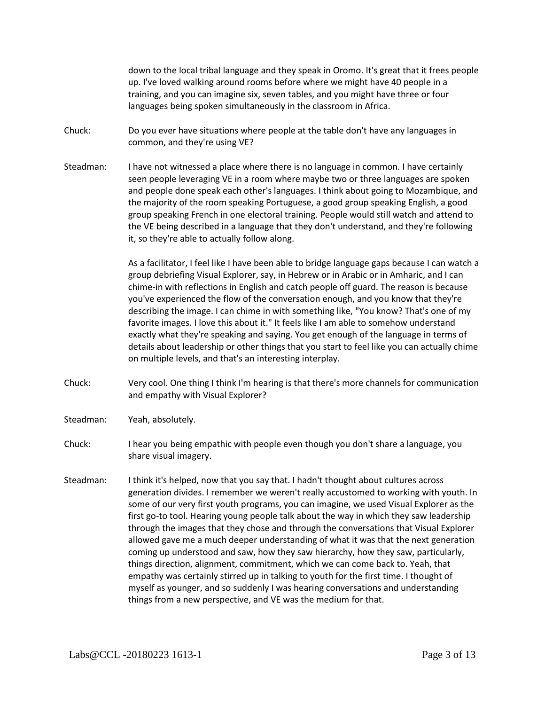down to the local tribal language and they speak in Oromo. It's great that it frees people up. I've loved walking around rooms before where we might have 40 people in a training, and you can imagine six, seven tables, and you might have three or four languages being spoken simultaneously in the classroom in Africa.

- Chuck: Do you ever have situations where people at the table don't have any languages in common, and they're using VE?
- Steadman: I have not witnessed a place where there is no language in common. I have certainly seen people leveraging VE in a room where maybe two or three languages are spoken and people done speak each other's languages. I think about going to Mozambique, and the majority of the room speaking Portuguese, a good group speaking English, a good group speaking French in one electoral training. People would still watch and attend to the VE being described in a language that they don't understand, and they're following it, so they're able to actually follow along.

As a facilitator, I feel like I have been able to bridge language gaps because I can watch a group debriefing Visual Explorer, say, in Hebrew or in Arabic or in Amharic, and I can chime-in with reflections in English and catch people off guard. The reason is because you've experienced the flow of the conversation enough, and you know that they're describing the image. I can chime in with something like, "You know? That's one of my favorite images. I love this about it." It feels like I am able to somehow understand exactly what they're speaking and saying. You get enough of the language in terms of details about leadership or other things that you start to feel like you can actually chime on multiple levels, and that's an interesting interplay.

- Chuck: Very cool. One thing I think I'm hearing is that there's more channels for communication and empathy with Visual Explorer?
- Steadman: Yeah, absolutely.
- Chuck: I hear you being empathic with people even though you don't share a language, you share visual imagery.
- Steadman: I think it's helped, now that you say that. I hadn't thought about cultures across generation divides. I remember we weren't really accustomed to working with youth. In some of our very first youth programs, you can imagine, we used Visual Explorer as the first go-to tool. Hearing young people talk about the way in which they saw leadership through the images that they chose and through the conversations that Visual Explorer allowed gave me a much deeper understanding of what it was that the next generation coming up understood and saw, how they saw hierarchy, how they saw, particularly, things direction, alignment, commitment, which we can come back to. Yeah, that empathy was certainly stirred up in talking to youth for the first time. I thought of myself as younger, and so suddenly I was hearing conversations and understanding things from a new perspective, and VE was the medium for that.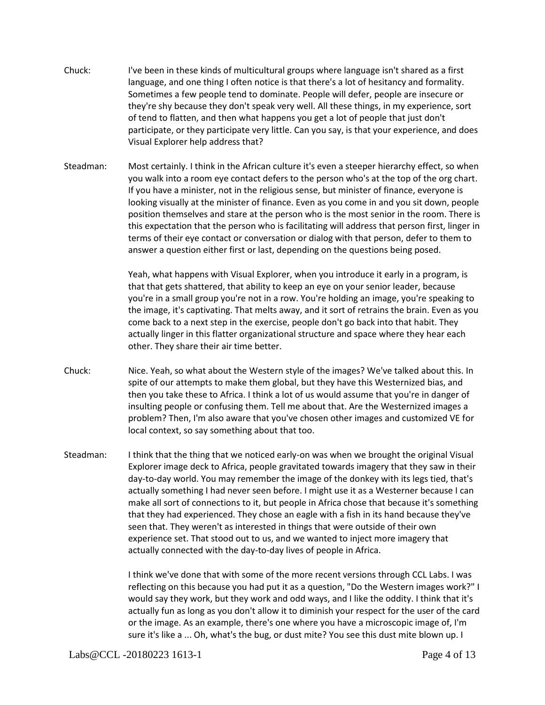- Chuck: I've been in these kinds of multicultural groups where language isn't shared as a first language, and one thing I often notice is that there's a lot of hesitancy and formality. Sometimes a few people tend to dominate. People will defer, people are insecure or they're shy because they don't speak very well. All these things, in my experience, sort of tend to flatten, and then what happens you get a lot of people that just don't participate, or they participate very little. Can you say, is that your experience, and does Visual Explorer help address that?
- Steadman: Most certainly. I think in the African culture it's even a steeper hierarchy effect, so when you walk into a room eye contact defers to the person who's at the top of the org chart. If you have a minister, not in the religious sense, but minister of finance, everyone is looking visually at the minister of finance. Even as you come in and you sit down, people position themselves and stare at the person who is the most senior in the room. There is this expectation that the person who is facilitating will address that person first, linger in terms of their eye contact or conversation or dialog with that person, defer to them to answer a question either first or last, depending on the questions being posed.

Yeah, what happens with Visual Explorer, when you introduce it early in a program, is that that gets shattered, that ability to keep an eye on your senior leader, because you're in a small group you're not in a row. You're holding an image, you're speaking to the image, it's captivating. That melts away, and it sort of retrains the brain. Even as you come back to a next step in the exercise, people don't go back into that habit. They actually linger in this flatter organizational structure and space where they hear each other. They share their air time better.

- Chuck: Nice. Yeah, so what about the Western style of the images? We've talked about this. In spite of our attempts to make them global, but they have this Westernized bias, and then you take these to Africa. I think a lot of us would assume that you're in danger of insulting people or confusing them. Tell me about that. Are the Westernized images a problem? Then, I'm also aware that you've chosen other images and customized VE for local context, so say something about that too.
- Steadman: I think that the thing that we noticed early-on was when we brought the original Visual Explorer image deck to Africa, people gravitated towards imagery that they saw in their day-to-day world. You may remember the image of the donkey with its legs tied, that's actually something I had never seen before. I might use it as a Westerner because I can make all sort of connections to it, but people in Africa chose that because it's something that they had experienced. They chose an eagle with a fish in its hand because they've seen that. They weren't as interested in things that were outside of their own experience set. That stood out to us, and we wanted to inject more imagery that actually connected with the day-to-day lives of people in Africa.

I think we've done that with some of the more recent versions through CCL Labs. I was reflecting on this because you had put it as a question, "Do the Western images work?" I would say they work, but they work and odd ways, and I like the oddity. I think that it's actually fun as long as you don't allow it to diminish your respect for the user of the card or the image. As an example, there's one where you have a microscopic image of, I'm sure it's like a ... Oh, what's the bug, or dust mite? You see this dust mite blown up. I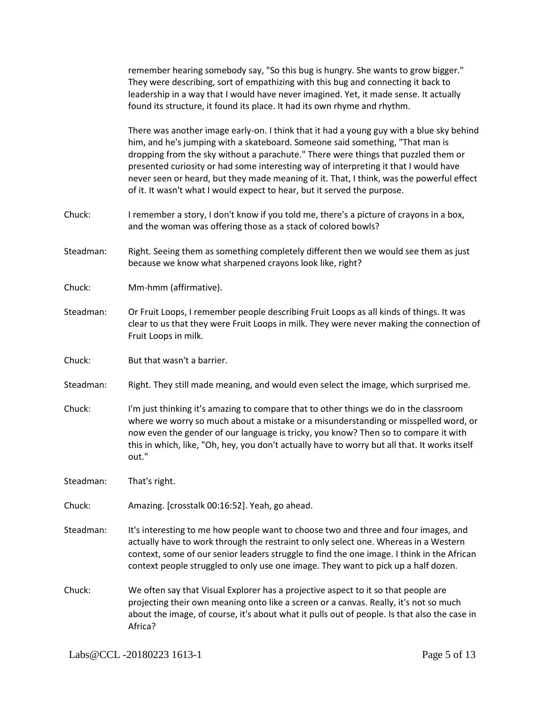|           | remember hearing somebody say, "So this bug is hungry. She wants to grow bigger."<br>They were describing, sort of empathizing with this bug and connecting it back to<br>leadership in a way that I would have never imagined. Yet, it made sense. It actually<br>found its structure, it found its place. It had its own rhyme and rhythm.                                                                                                                                                                                    |
|-----------|---------------------------------------------------------------------------------------------------------------------------------------------------------------------------------------------------------------------------------------------------------------------------------------------------------------------------------------------------------------------------------------------------------------------------------------------------------------------------------------------------------------------------------|
|           | There was another image early-on. I think that it had a young guy with a blue sky behind<br>him, and he's jumping with a skateboard. Someone said something, "That man is<br>dropping from the sky without a parachute." There were things that puzzled them or<br>presented curiosity or had some interesting way of interpreting it that I would have<br>never seen or heard, but they made meaning of it. That, I think, was the powerful effect<br>of it. It wasn't what I would expect to hear, but it served the purpose. |
| Chuck:    | I remember a story, I don't know if you told me, there's a picture of crayons in a box,<br>and the woman was offering those as a stack of colored bowls?                                                                                                                                                                                                                                                                                                                                                                        |
| Steadman: | Right. Seeing them as something completely different then we would see them as just<br>because we know what sharpened crayons look like, right?                                                                                                                                                                                                                                                                                                                                                                                 |
| Chuck:    | Mm-hmm (affirmative).                                                                                                                                                                                                                                                                                                                                                                                                                                                                                                           |
| Steadman: | Or Fruit Loops, I remember people describing Fruit Loops as all kinds of things. It was<br>clear to us that they were Fruit Loops in milk. They were never making the connection of<br>Fruit Loops in milk.                                                                                                                                                                                                                                                                                                                     |
| Chuck:    | But that wasn't a barrier.                                                                                                                                                                                                                                                                                                                                                                                                                                                                                                      |
| Steadman: | Right. They still made meaning, and would even select the image, which surprised me.                                                                                                                                                                                                                                                                                                                                                                                                                                            |
| Chuck:    | I'm just thinking it's amazing to compare that to other things we do in the classroom<br>where we worry so much about a mistake or a misunderstanding or misspelled word, or<br>now even the gender of our language is tricky, you know? Then so to compare it with<br>this in which, like, "Oh, hey, you don't actually have to worry but all that. It works itself<br>out."                                                                                                                                                   |
|           |                                                                                                                                                                                                                                                                                                                                                                                                                                                                                                                                 |
| Steadman: | That's right.                                                                                                                                                                                                                                                                                                                                                                                                                                                                                                                   |
| Chuck:    | Amazing. [crosstalk 00:16:52]. Yeah, go ahead.                                                                                                                                                                                                                                                                                                                                                                                                                                                                                  |
| Steadman: | It's interesting to me how people want to choose two and three and four images, and<br>actually have to work through the restraint to only select one. Whereas in a Western<br>context, some of our senior leaders struggle to find the one image. I think in the African<br>context people struggled to only use one image. They want to pick up a half dozen.                                                                                                                                                                 |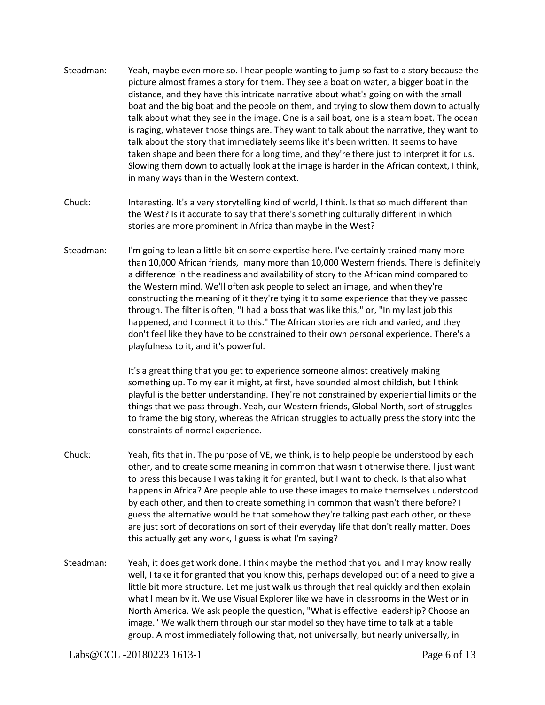- Steadman: Yeah, maybe even more so. I hear people wanting to jump so fast to a story because the picture almost frames a story for them. They see a boat on water, a bigger boat in the distance, and they have this intricate narrative about what's going on with the small boat and the big boat and the people on them, and trying to slow them down to actually talk about what they see in the image. One is a sail boat, one is a steam boat. The ocean is raging, whatever those things are. They want to talk about the narrative, they want to talk about the story that immediately seems like it's been written. It seems to have taken shape and been there for a long time, and they're there just to interpret it for us. Slowing them down to actually look at the image is harder in the African context, I think, in many ways than in the Western context.
- Chuck: Interesting. It's a very storytelling kind of world, I think. Is that so much different than the West? Is it accurate to say that there's something culturally different in which stories are more prominent in Africa than maybe in the West?
- Steadman: I'm going to lean a little bit on some expertise here. I've certainly trained many more than 10,000 African friends, many more than 10,000 Western friends. There is definitely a difference in the readiness and availability of story to the African mind compared to the Western mind. We'll often ask people to select an image, and when they're constructing the meaning of it they're tying it to some experience that they've passed through. The filter is often, "I had a boss that was like this," or, "In my last job this happened, and I connect it to this." The African stories are rich and varied, and they don't feel like they have to be constrained to their own personal experience. There's a playfulness to it, and it's powerful.

It's a great thing that you get to experience someone almost creatively making something up. To my ear it might, at first, have sounded almost childish, but I think playful is the better understanding. They're not constrained by experiential limits or the things that we pass through. Yeah, our Western friends, Global North, sort of struggles to frame the big story, whereas the African struggles to actually press the story into the constraints of normal experience.

- Chuck: Yeah, fits that in. The purpose of VE, we think, is to help people be understood by each other, and to create some meaning in common that wasn't otherwise there. I just want to press this because I was taking it for granted, but I want to check. Is that also what happens in Africa? Are people able to use these images to make themselves understood by each other, and then to create something in common that wasn't there before? I guess the alternative would be that somehow they're talking past each other, or these are just sort of decorations on sort of their everyday life that don't really matter. Does this actually get any work, I guess is what I'm saying?
- Steadman: Yeah, it does get work done. I think maybe the method that you and I may know really well, I take it for granted that you know this, perhaps developed out of a need to give a little bit more structure. Let me just walk us through that real quickly and then explain what I mean by it. We use Visual Explorer like we have in classrooms in the West or in North America. We ask people the question, "What is effective leadership? Choose an image." We walk them through our star model so they have time to talk at a table group. Almost immediately following that, not universally, but nearly universally, in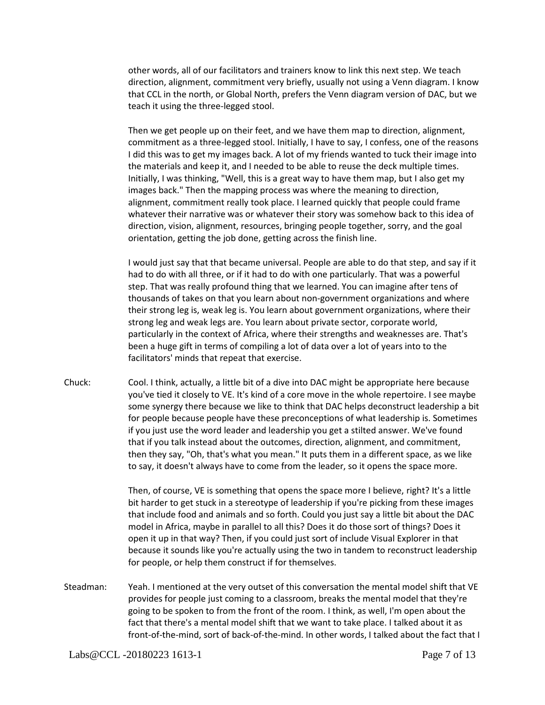other words, all of our facilitators and trainers know to link this next step. We teach direction, alignment, commitment very briefly, usually not using a Venn diagram. I know that CCL in the north, or Global North, prefers the Venn diagram version of DAC, but we teach it using the three-legged stool.

Then we get people up on their feet, and we have them map to direction, alignment, commitment as a three-legged stool. Initially, I have to say, I confess, one of the reasons I did this was to get my images back. A lot of my friends wanted to tuck their image into the materials and keep it, and I needed to be able to reuse the deck multiple times. Initially, I was thinking, "Well, this is a great way to have them map, but I also get my images back." Then the mapping process was where the meaning to direction, alignment, commitment really took place. I learned quickly that people could frame whatever their narrative was or whatever their story was somehow back to this idea of direction, vision, alignment, resources, bringing people together, sorry, and the goal orientation, getting the job done, getting across the finish line.

I would just say that that became universal. People are able to do that step, and say if it had to do with all three, or if it had to do with one particularly. That was a powerful step. That was really profound thing that we learned. You can imagine after tens of thousands of takes on that you learn about non-government organizations and where their strong leg is, weak leg is. You learn about government organizations, where their strong leg and weak legs are. You learn about private sector, corporate world, particularly in the context of Africa, where their strengths and weaknesses are. That's been a huge gift in terms of compiling a lot of data over a lot of years into to the facilitators' minds that repeat that exercise.

Chuck: Cool. I think, actually, a little bit of a dive into DAC might be appropriate here because you've tied it closely to VE. It's kind of a core move in the whole repertoire. I see maybe some synergy there because we like to think that DAC helps deconstruct leadership a bit for people because people have these preconceptions of what leadership is. Sometimes if you just use the word leader and leadership you get a stilted answer. We've found that if you talk instead about the outcomes, direction, alignment, and commitment, then they say, "Oh, that's what you mean." It puts them in a different space, as we like to say, it doesn't always have to come from the leader, so it opens the space more.

> Then, of course, VE is something that opens the space more I believe, right? It's a little bit harder to get stuck in a stereotype of leadership if you're picking from these images that include food and animals and so forth. Could you just say a little bit about the DAC model in Africa, maybe in parallel to all this? Does it do those sort of things? Does it open it up in that way? Then, if you could just sort of include Visual Explorer in that because it sounds like you're actually using the two in tandem to reconstruct leadership for people, or help them construct if for themselves.

Steadman: Yeah. I mentioned at the very outset of this conversation the mental model shift that VE provides for people just coming to a classroom, breaks the mental model that they're going to be spoken to from the front of the room. I think, as well, I'm open about the fact that there's a mental model shift that we want to take place. I talked about it as front-of-the-mind, sort of back-of-the-mind. In other words, I talked about the fact that I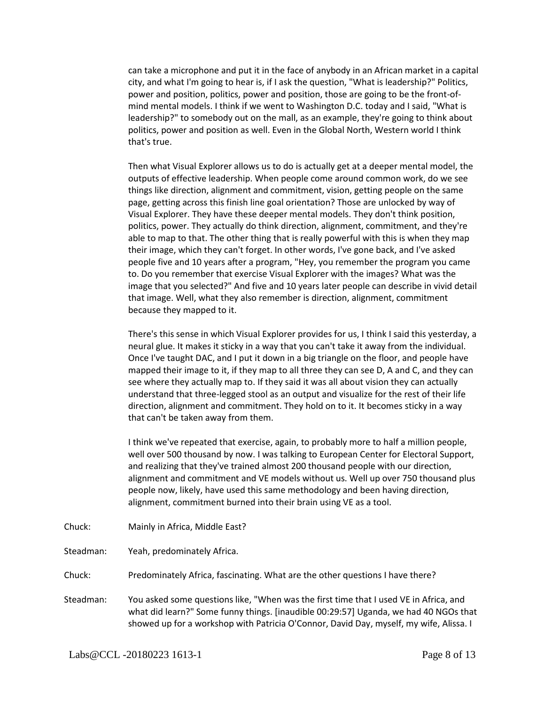can take a microphone and put it in the face of anybody in an African market in a capital city, and what I'm going to hear is, if I ask the question, "What is leadership?" Politics, power and position, politics, power and position, those are going to be the front-ofmind mental models. I think if we went to Washington D.C. today and I said, "What is leadership?" to somebody out on the mall, as an example, they're going to think about politics, power and position as well. Even in the Global North, Western world I think that's true.

Then what Visual Explorer allows us to do is actually get at a deeper mental model, the outputs of effective leadership. When people come around common work, do we see things like direction, alignment and commitment, vision, getting people on the same page, getting across this finish line goal orientation? Those are unlocked by way of Visual Explorer. They have these deeper mental models. They don't think position, politics, power. They actually do think direction, alignment, commitment, and they're able to map to that. The other thing that is really powerful with this is when they map their image, which they can't forget. In other words, I've gone back, and I've asked people five and 10 years after a program, "Hey, you remember the program you came to. Do you remember that exercise Visual Explorer with the images? What was the image that you selected?" And five and 10 years later people can describe in vivid detail that image. Well, what they also remember is direction, alignment, commitment because they mapped to it.

There's this sense in which Visual Explorer provides for us, I think I said this yesterday, a neural glue. It makes it sticky in a way that you can't take it away from the individual. Once I've taught DAC, and I put it down in a big triangle on the floor, and people have mapped their image to it, if they map to all three they can see D, A and C, and they can see where they actually map to. If they said it was all about vision they can actually understand that three-legged stool as an output and visualize for the rest of their life direction, alignment and commitment. They hold on to it. It becomes sticky in a way that can't be taken away from them.

I think we've repeated that exercise, again, to probably more to half a million people, well over 500 thousand by now. I was talking to European Center for Electoral Support, and realizing that they've trained almost 200 thousand people with our direction, alignment and commitment and VE models without us. Well up over 750 thousand plus people now, likely, have used this same methodology and been having direction, alignment, commitment burned into their brain using VE as a tool.

- Chuck: Mainly in Africa, Middle East?
- Steadman: Yeah, predominately Africa.

Chuck: Predominately Africa, fascinating. What are the other questions I have there?

Steadman: You asked some questions like, "When was the first time that I used VE in Africa, and what did learn?" Some funny things. [inaudible 00:29:57] Uganda, we had 40 NGOs that showed up for a workshop with Patricia O'Connor, David Day, myself, my wife, Alissa. I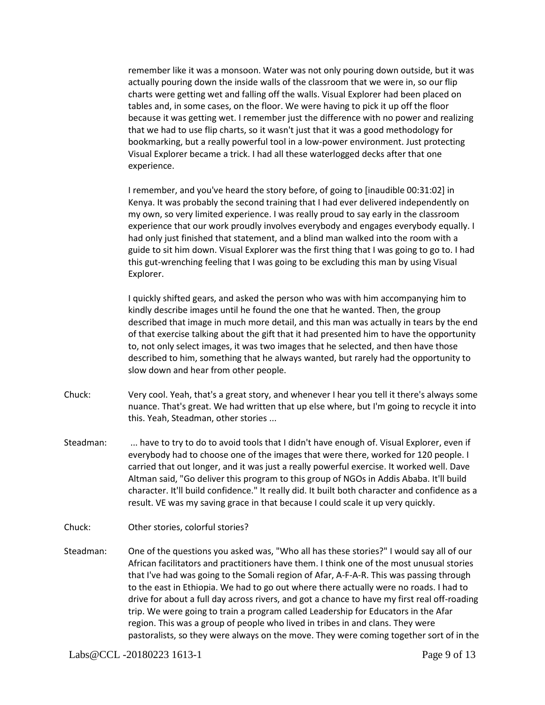remember like it was a monsoon. Water was not only pouring down outside, but it was actually pouring down the inside walls of the classroom that we were in, so our flip charts were getting wet and falling off the walls. Visual Explorer had been placed on tables and, in some cases, on the floor. We were having to pick it up off the floor because it was getting wet. I remember just the difference with no power and realizing that we had to use flip charts, so it wasn't just that it was a good methodology for bookmarking, but a really powerful tool in a low-power environment. Just protecting Visual Explorer became a trick. I had all these waterlogged decks after that one experience.

I remember, and you've heard the story before, of going to [inaudible 00:31:02] in Kenya. It was probably the second training that I had ever delivered independently on my own, so very limited experience. I was really proud to say early in the classroom experience that our work proudly involves everybody and engages everybody equally. I had only just finished that statement, and a blind man walked into the room with a guide to sit him down. Visual Explorer was the first thing that I was going to go to. I had this gut-wrenching feeling that I was going to be excluding this man by using Visual Explorer.

I quickly shifted gears, and asked the person who was with him accompanying him to kindly describe images until he found the one that he wanted. Then, the group described that image in much more detail, and this man was actually in tears by the end of that exercise talking about the gift that it had presented him to have the opportunity to, not only select images, it was two images that he selected, and then have those described to him, something that he always wanted, but rarely had the opportunity to slow down and hear from other people.

- Chuck: Very cool. Yeah, that's a great story, and whenever I hear you tell it there's always some nuance. That's great. We had written that up else where, but I'm going to recycle it into this. Yeah, Steadman, other stories ...
- Steadman: ... have to try to do to avoid tools that I didn't have enough of. Visual Explorer, even if everybody had to choose one of the images that were there, worked for 120 people. I carried that out longer, and it was just a really powerful exercise. It worked well. Dave Altman said, "Go deliver this program to this group of NGOs in Addis Ababa. It'll build character. It'll build confidence." It really did. It built both character and confidence as a result. VE was my saving grace in that because I could scale it up very quickly.
- Chuck: Other stories, colorful stories?
- Steadman: One of the questions you asked was, "Who all has these stories?" I would say all of our African facilitators and practitioners have them. I think one of the most unusual stories that I've had was going to the Somali region of Afar, A-F-A-R. This was passing through to the east in Ethiopia. We had to go out where there actually were no roads. I had to drive for about a full day across rivers, and got a chance to have my first real off-roading trip. We were going to train a program called Leadership for Educators in the Afar region. This was a group of people who lived in tribes in and clans. They were pastoralists, so they were always on the move. They were coming together sort of in the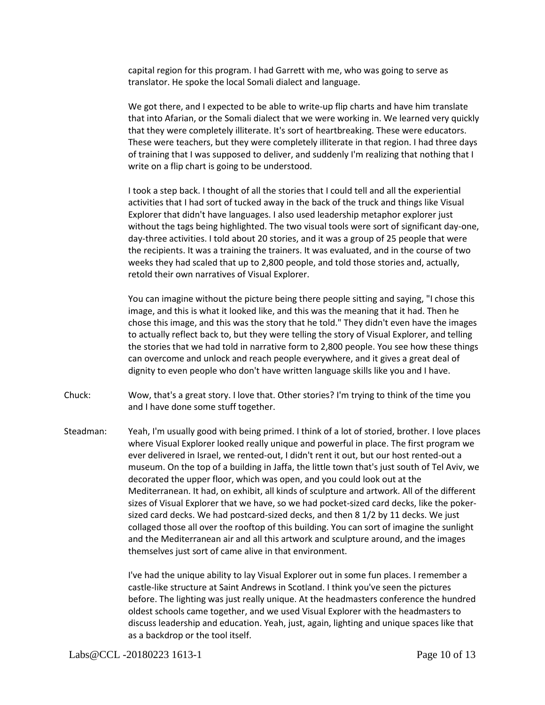capital region for this program. I had Garrett with me, who was going to serve as translator. He spoke the local Somali dialect and language.

We got there, and I expected to be able to write-up flip charts and have him translate that into Afarian, or the Somali dialect that we were working in. We learned very quickly that they were completely illiterate. It's sort of heartbreaking. These were educators. These were teachers, but they were completely illiterate in that region. I had three days of training that I was supposed to deliver, and suddenly I'm realizing that nothing that I write on a flip chart is going to be understood.

I took a step back. I thought of all the stories that I could tell and all the experiential activities that I had sort of tucked away in the back of the truck and things like Visual Explorer that didn't have languages. I also used leadership metaphor explorer just without the tags being highlighted. The two visual tools were sort of significant day-one, day-three activities. I told about 20 stories, and it was a group of 25 people that were the recipients. It was a training the trainers. It was evaluated, and in the course of two weeks they had scaled that up to 2,800 people, and told those stories and, actually, retold their own narratives of Visual Explorer.

You can imagine without the picture being there people sitting and saying, "I chose this image, and this is what it looked like, and this was the meaning that it had. Then he chose this image, and this was the story that he told." They didn't even have the images to actually reflect back to, but they were telling the story of Visual Explorer, and telling the stories that we had told in narrative form to 2,800 people. You see how these things can overcome and unlock and reach people everywhere, and it gives a great deal of dignity to even people who don't have written language skills like you and I have.

- Chuck: Wow, that's a great story. I love that. Other stories? I'm trying to think of the time you and I have done some stuff together.
- Steadman: Yeah, I'm usually good with being primed. I think of a lot of storied, brother. I love places where Visual Explorer looked really unique and powerful in place. The first program we ever delivered in Israel, we rented-out, I didn't rent it out, but our host rented-out a museum. On the top of a building in Jaffa, the little town that's just south of Tel Aviv, we decorated the upper floor, which was open, and you could look out at the Mediterranean. It had, on exhibit, all kinds of sculpture and artwork. All of the different sizes of Visual Explorer that we have, so we had pocket-sized card decks, like the pokersized card decks. We had postcard-sized decks, and then 8 1/2 by 11 decks. We just collaged those all over the rooftop of this building. You can sort of imagine the sunlight and the Mediterranean air and all this artwork and sculpture around, and the images themselves just sort of came alive in that environment.

I've had the unique ability to lay Visual Explorer out in some fun places. I remember a castle-like structure at Saint Andrews in Scotland. I think you've seen the pictures before. The lighting was just really unique. At the headmasters conference the hundred oldest schools came together, and we used Visual Explorer with the headmasters to discuss leadership and education. Yeah, just, again, lighting and unique spaces like that as a backdrop or the tool itself.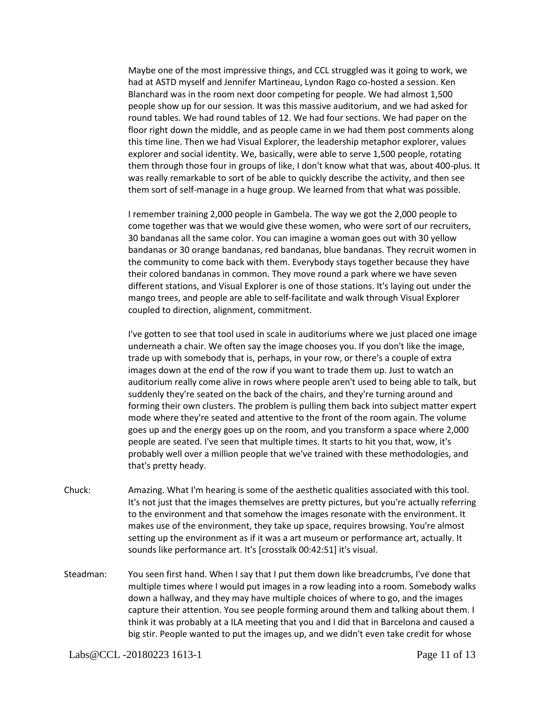Maybe one of the most impressive things, and CCL struggled was it going to work, we had at ASTD myself and Jennifer Martineau, Lyndon Rago co-hosted a session. Ken Blanchard was in the room next door competing for people. We had almost 1,500 people show up for our session. It was this massive auditorium, and we had asked for round tables. We had round tables of 12. We had four sections. We had paper on the floor right down the middle, and as people came in we had them post comments along this time line. Then we had Visual Explorer, the leadership metaphor explorer, values explorer and social identity. We, basically, were able to serve 1,500 people, rotating them through those four in groups of like, I don't know what that was, about 400-plus. It was really remarkable to sort of be able to quickly describe the activity, and then see them sort of self-manage in a huge group. We learned from that what was possible.

I remember training 2,000 people in Gambela. The way we got the 2,000 people to come together was that we would give these women, who were sort of our recruiters, 30 bandanas all the same color. You can imagine a woman goes out with 30 yellow bandanas or 30 orange bandanas, red bandanas, blue bandanas. They recruit women in the community to come back with them. Everybody stays together because they have their colored bandanas in common. They move round a park where we have seven different stations, and Visual Explorer is one of those stations. It's laying out under the mango trees, and people are able to self-facilitate and walk through Visual Explorer coupled to direction, alignment, commitment.

I've gotten to see that tool used in scale in auditoriums where we just placed one image underneath a chair. We often say the image chooses you. If you don't like the image, trade up with somebody that is, perhaps, in your row, or there's a couple of extra images down at the end of the row if you want to trade them up. Just to watch an auditorium really come alive in rows where people aren't used to being able to talk, but suddenly they're seated on the back of the chairs, and they're turning around and forming their own clusters. The problem is pulling them back into subject matter expert mode where they're seated and attentive to the front of the room again. The volume goes up and the energy goes up on the room, and you transform a space where 2,000 people are seated. I've seen that multiple times. It starts to hit you that, wow, it's probably well over a million people that we've trained with these methodologies, and that's pretty heady.

- Chuck: Amazing. What I'm hearing is some of the aesthetic qualities associated with this tool. It's not just that the images themselves are pretty pictures, but you're actually referring to the environment and that somehow the images resonate with the environment. It makes use of the environment, they take up space, requires browsing. You're almost setting up the environment as if it was a art museum or performance art, actually. It sounds like performance art. It's [crosstalk 00:42:51] it's visual.
- Steadman: You seen first hand. When I say that I put them down like breadcrumbs, I've done that multiple times where I would put images in a row leading into a room. Somebody walks down a hallway, and they may have multiple choices of where to go, and the images capture their attention. You see people forming around them and talking about them. I think it was probably at a ILA meeting that you and I did that in Barcelona and caused a big stir. People wanted to put the images up, and we didn't even take credit for whose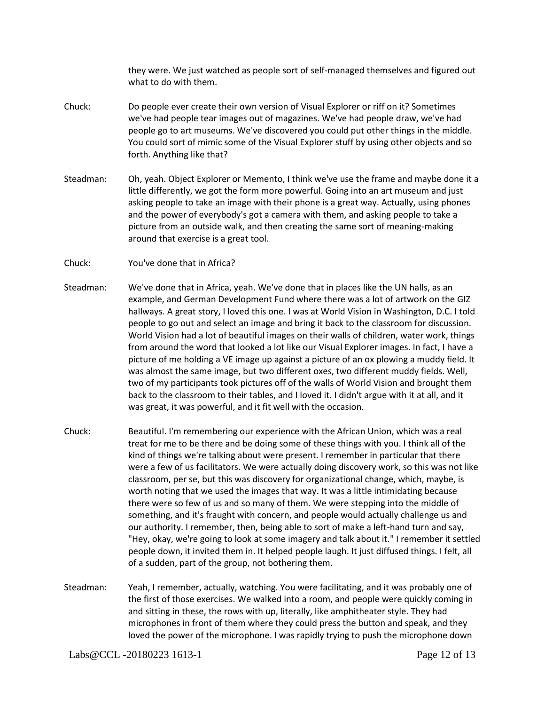they were. We just watched as people sort of self-managed themselves and figured out what to do with them.

- Chuck: Do people ever create their own version of Visual Explorer or riff on it? Sometimes we've had people tear images out of magazines. We've had people draw, we've had people go to art museums. We've discovered you could put other things in the middle. You could sort of mimic some of the Visual Explorer stuff by using other objects and so forth. Anything like that?
- Steadman: Oh, yeah. Object Explorer or Memento, I think we've use the frame and maybe done it a little differently, we got the form more powerful. Going into an art museum and just asking people to take an image with their phone is a great way. Actually, using phones and the power of everybody's got a camera with them, and asking people to take a picture from an outside walk, and then creating the same sort of meaning-making around that exercise is a great tool.
- Chuck: You've done that in Africa?
- Steadman: We've done that in Africa, yeah. We've done that in places like the UN halls, as an example, and German Development Fund where there was a lot of artwork on the GIZ hallways. A great story, I loved this one. I was at World Vision in Washington, D.C. I told people to go out and select an image and bring it back to the classroom for discussion. World Vision had a lot of beautiful images on their walls of children, water work, things from around the word that looked a lot like our Visual Explorer images. In fact, I have a picture of me holding a VE image up against a picture of an ox plowing a muddy field. It was almost the same image, but two different oxes, two different muddy fields. Well, two of my participants took pictures off of the walls of World Vision and brought them back to the classroom to their tables, and I loved it. I didn't argue with it at all, and it was great, it was powerful, and it fit well with the occasion.
- Chuck: Beautiful. I'm remembering our experience with the African Union, which was a real treat for me to be there and be doing some of these things with you. I think all of the kind of things we're talking about were present. I remember in particular that there were a few of us facilitators. We were actually doing discovery work, so this was not like classroom, per se, but this was discovery for organizational change, which, maybe, is worth noting that we used the images that way. It was a little intimidating because there were so few of us and so many of them. We were stepping into the middle of something, and it's fraught with concern, and people would actually challenge us and our authority. I remember, then, being able to sort of make a left-hand turn and say, "Hey, okay, we're going to look at some imagery and talk about it." I remember it settled people down, it invited them in. It helped people laugh. It just diffused things. I felt, all of a sudden, part of the group, not bothering them.
- Steadman: Yeah, I remember, actually, watching. You were facilitating, and it was probably one of the first of those exercises. We walked into a room, and people were quickly coming in and sitting in these, the rows with up, literally, like amphitheater style. They had microphones in front of them where they could press the button and speak, and they loved the power of the microphone. I was rapidly trying to push the microphone down